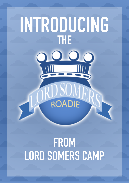# INTRODUCING **THE** 0000 ROADIE

# FROM LORD SOMERS CAMP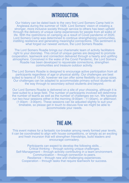#### INTRODUCTION

Our history can be dated back to the very first Lord Somers Camp held in Anglesea during the summer of 1929. Lord Somers' vision of creating a stronger, more inclusive society through service to others has been upheld through the delivery of unique camp experiences for people from all walks of life. With the restrictions on camping as a result of Covid pandemic of 2020. Lord Somers Camp was determined to continue strengthening communities. instilling resilience and generating meaningful connections. This sentiment is what forged our newest venture, the Lord Somers Roadie.

The Lord Somers Roadie brings our charismatic team of activity facilitators right to your doorstep. This circuit of unique games are designed to promote cooperation, teamwork and connection delivered through a hearty and uplifting atmosphere. Conceived in the wake of the Covid Pandemic, the Lord Somers Roadie has been developed to rejuvenate connections, strengthen communities and treasure outdoor activity.

The Lord Somers Roadie is designed to encourage active participation from all participants regardless of age or physical ability. Our challenges are best suited to teams of 15-30, however we can offer some flexibility on group sizes. Our challenges can be adapted to accommodate primary school students all the way through to secondary school students and beyond.

Our Lord Somers Roadie is delivered on a site of your choosing, although it is best suited to a large field. The number of participants involved will determine the number of teams as well as the number of challenges we run. We typically run two-hour sessions either in the morning (9:00am - 11:00am), or afternoon  $(1:00 \text{pm} - 3:00 \text{pm})$ . These sessions can be adjusted slightly to suit your timetable, so please get in touch to discuss how we might be able to accommodate your needs.

## THE AIM:

This event makes for a fantastic ice-breaker among newly formed year levels. it can be coordinated to align with house competitions, or simply as an exciting and fresh incursion that will strengthen friendships, build leaders and encourage comradery.

Participants can expect to develop the following skills... Critical thinking – through solving unique challenges. Self-Management – through actively contributing in a team environment. Communication – through connection to peers. Resilience – through new and challenging experiences. Cooperation – through tasks that require teamwork for success.